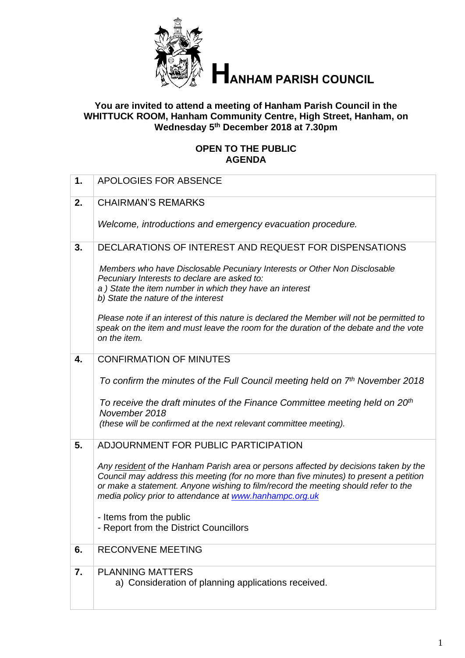

# **HANHAM PARISH COUNCIL**

#### **You are invited to attend a meeting of Hanham Parish Council in the WHITTUCK ROOM, Hanham Community Centre, High Street, Hanham, on Wednesday 5 th December 2018 at 7.30pm**

# **OPEN TO THE PUBLIC AGENDA**

| 1. | APOLOGIES FOR ABSENCE                                                                                                                                                                                                                                                                                                           |
|----|---------------------------------------------------------------------------------------------------------------------------------------------------------------------------------------------------------------------------------------------------------------------------------------------------------------------------------|
| 2. | <b>CHAIRMAN'S REMARKS</b>                                                                                                                                                                                                                                                                                                       |
|    | Welcome, introductions and emergency evacuation procedure.                                                                                                                                                                                                                                                                      |
| 3. | DECLARATIONS OF INTEREST AND REQUEST FOR DISPENSATIONS                                                                                                                                                                                                                                                                          |
|    | Members who have Disclosable Pecuniary Interests or Other Non Disclosable<br>Pecuniary Interests to declare are asked to:<br>a) State the item number in which they have an interest<br>b) State the nature of the interest                                                                                                     |
|    | Please note if an interest of this nature is declared the Member will not be permitted to<br>speak on the item and must leave the room for the duration of the debate and the vote<br>on the item.                                                                                                                              |
| 4. | <b>CONFIRMATION OF MINUTES</b>                                                                                                                                                                                                                                                                                                  |
|    | To confirm the minutes of the Full Council meeting held on 7th November 2018                                                                                                                                                                                                                                                    |
|    | To receive the draft minutes of the Finance Committee meeting held on 20 <sup>th</sup><br>November 2018                                                                                                                                                                                                                         |
|    | (these will be confirmed at the next relevant committee meeting).                                                                                                                                                                                                                                                               |
| 5. | ADJOURNMENT FOR PUBLIC PARTICIPATION                                                                                                                                                                                                                                                                                            |
|    | Any resident of the Hanham Parish area or persons affected by decisions taken by the<br>Council may address this meeting (for no more than five minutes) to present a petition<br>or make a statement. Anyone wishing to film/record the meeting should refer to the<br>media policy prior to attendance at www.hanhampc.org.uk |
|    | - Items from the public                                                                                                                                                                                                                                                                                                         |
|    | - Report from the District Councillors                                                                                                                                                                                                                                                                                          |
| 6. | <b>RECONVENE MEETING</b>                                                                                                                                                                                                                                                                                                        |
| 7. | <b>PLANNING MATTERS</b><br>a) Consideration of planning applications received.                                                                                                                                                                                                                                                  |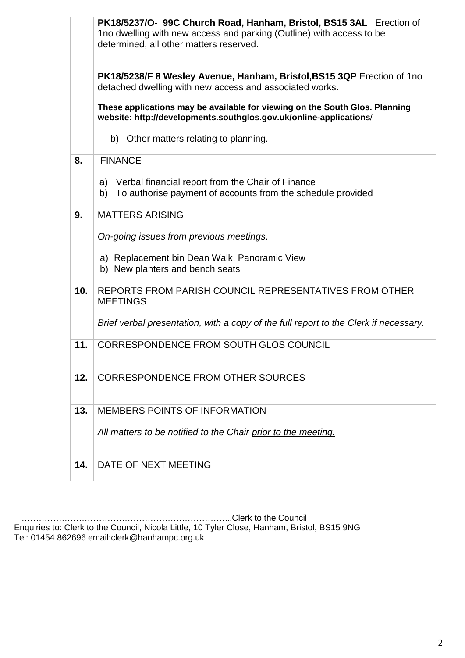|     | PK18/5237/O- 99C Church Road, Hanham, Bristol, BS15 3AL Erection of<br>1no dwelling with new access and parking (Outline) with access to be       |  |  |
|-----|---------------------------------------------------------------------------------------------------------------------------------------------------|--|--|
|     | determined, all other matters reserved.                                                                                                           |  |  |
|     | PK18/5238/F 8 Wesley Avenue, Hanham, Bristol, BS15 3QP Erection of 1no<br>detached dwelling with new access and associated works.                 |  |  |
|     | These applications may be available for viewing on the South Glos. Planning<br>website: http://developments.southglos.gov.uk/online-applications/ |  |  |
|     | b) Other matters relating to planning.                                                                                                            |  |  |
| 8.  | <b>FINANCE</b>                                                                                                                                    |  |  |
|     | a) Verbal financial report from the Chair of Finance<br>b) To authorise payment of accounts from the schedule provided                            |  |  |
| 9.  | <b>MATTERS ARISING</b>                                                                                                                            |  |  |
|     | On-going issues from previous meetings.                                                                                                           |  |  |
|     | a) Replacement bin Dean Walk, Panoramic View<br>b) New planters and bench seats                                                                   |  |  |
| 10. | REPORTS FROM PARISH COUNCIL REPRESENTATIVES FROM OTHER<br><b>MEETINGS</b>                                                                         |  |  |
|     | Brief verbal presentation, with a copy of the full report to the Clerk if necessary.                                                              |  |  |
| 11. | CORRESPONDENCE FROM SOUTH GLOS COUNCIL                                                                                                            |  |  |
| 12. | <b>CORRESPONDENCE FROM OTHER SOURCES</b>                                                                                                          |  |  |
| 13. | <b>MEMBERS POINTS OF INFORMATION</b>                                                                                                              |  |  |
|     | All matters to be notified to the Chair prior to the meeting.                                                                                     |  |  |
| 14. | DATE OF NEXT MEETING                                                                                                                              |  |  |

 ………………………………………………………………..Clerk to the Council Enquiries to: Clerk to the Council, Nicola Little, 10 Tyler Close, Hanham, Bristol, BS15 9NG Tel: 01454 862696 email:clerk@hanhampc.org.uk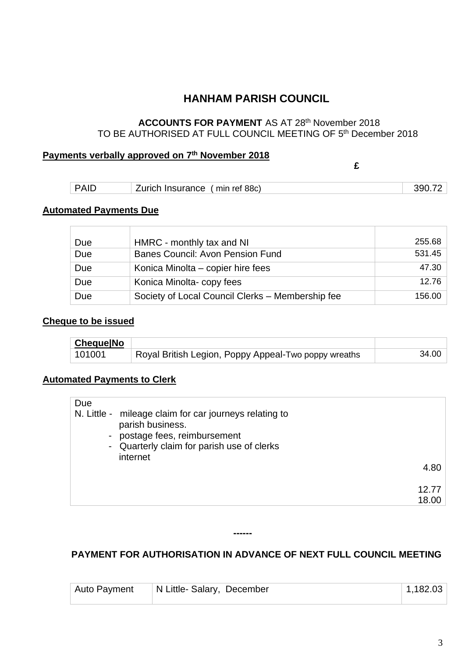# **HANHAM PARISH COUNCIL**

# **ACCOUNTS FOR PAYMENT** AS AT 28<sup>th</sup> November 2018 TO BE AUTHORISED AT FULL COUNCIL MEETING OF 5th December 2018

#### **Payments verbally approved on 7 th November 2018**

| 'ΔI | Insurance<br>urich<br>______ | min ref 88c) |  |
|-----|------------------------------|--------------|--|

**£**

#### **Automated Payments Due**

| Due | HMRC - monthly tax and NI                        | 255.68 |
|-----|--------------------------------------------------|--------|
| Due | <b>Banes Council: Avon Pension Fund</b>          | 531.45 |
| Due | Konica Minolta – copier hire fees                | 47.30  |
| Due | Konica Minolta-copy fees                         | 12.76  |
| Due | Society of Local Council Clerks - Membership fee | 156.00 |

#### **Cheque to be issued**

| <b>ChequelNo</b> |                                                      |       |
|------------------|------------------------------------------------------|-------|
| 101001           | Royal British Legion, Poppy Appeal-Two poppy wreaths | 34.00 |

# **Automated Payments to Clerk**

| Due                                                                                                                                                                 |       |
|---------------------------------------------------------------------------------------------------------------------------------------------------------------------|-------|
| N. Little - mileage claim for car journeys relating to<br>parish business.<br>postage fees, reimbursement<br>- Quarterly claim for parish use of clerks<br>internet |       |
|                                                                                                                                                                     | 4.80  |
|                                                                                                                                                                     | 12.77 |
|                                                                                                                                                                     | 18.00 |

## **PAYMENT FOR AUTHORISATION IN ADVANCE OF NEXT FULL COUNCIL MEETING**

**------**

| Auto Payment | N Little- Salary, December | 1,182.03 |
|--------------|----------------------------|----------|
|              |                            |          |